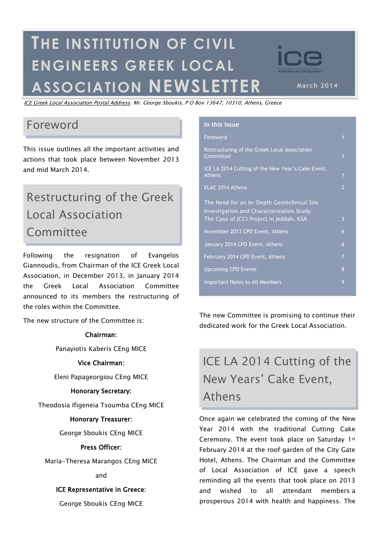# **THE INSTITUTION OF CIVIL ENGINEERS GREEK LOCAL ASSOCIATION NEWSLET**

ICE Greek Local Association Postal Address: Mr. George Sboukis, P O Box 13647, 10310, Athens, Greece

## Foreword

This issue outlines all the important activities and actions that took place between November 2013 and mid March 2014.

# Restructuring of the Greek Local Association Committee

Following the resignation of Evangelos Giannoudis, from Chairman of the ICE Greek Local Association, in December 2013, in January 2014 the Greek Local Association Committee announced to its members the restructuring of the roles within the Committee.

The new structure of the Committee is:

#### Chairman:

Panayiotis Kaberis CEng MICE

#### Vice Chairman:

Eleni Papageorgiou CEng MICE

#### Honorary Secretary:

Theodosia Ifigeneia Tsoumba CEng MICE

#### Honorary Treasurer:

George Sboukis CEng MICE

### Press Officer:

Maria-Theresa Marangos CEng MICE

#### and

### ICE Representative in Greece:

George Sboukis CEng MICE

| In this issue                                                                                                                      |                |
|------------------------------------------------------------------------------------------------------------------------------------|----------------|
| Foreword                                                                                                                           | $\mathbf{1}$   |
| Restructuring of the Greek Local Association<br>Committee                                                                          | $\overline{1}$ |
| ICE LA 2014 Cutting of the New Year's Cake Event,<br>Athens                                                                        | $\overline{1}$ |
| ELAC 2014 Athens                                                                                                                   | $\overline{2}$ |
| The Need for an In-Depth Geotechnical Site<br>Investigation and Characterization Study:<br>The Case of JCCI Project in Jeddah, KSA | 3              |
| November 2013 CPD Event, Athens                                                                                                    | 6              |
| January 2014 CPD Event, Athens                                                                                                     | 6              |
| February 2014 CPD Event, Athens                                                                                                    | $\overline{7}$ |
| <b>Upcoming CPD Events</b>                                                                                                         | 8              |
| <b>Important Notes to All Members</b>                                                                                              | 9              |
|                                                                                                                                    |                |

The new Committee is promising to continue their dedicated work for the Greek Local Association.

# ICE LA 2014 Cutting of the New Years" Cake Event, Athens

Once again we celebrated the coming of the New Year 2014 with the traditional Cutting Cake Ceremony. The event took place on Saturday 1st February 2014 at the roof garden of the City Gate Hotel, Athens. The Chairman and the Committee of Local Association of ICE gave a speech reminding all the events that took place on 2013 and wished to all attendant members a prosperous 2014 with health and happiness. The

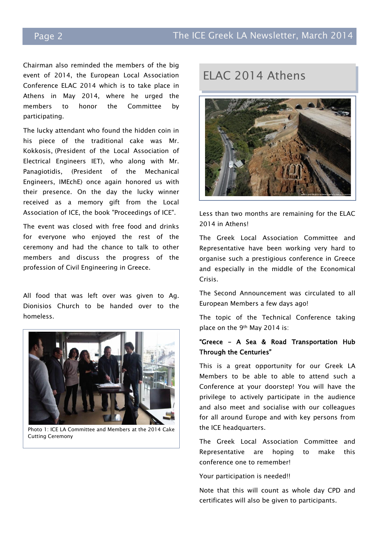Chairman also reminded the members of the big event of 2014, the European Local Association Conference ELAC 2014 which is to take place in Athens in May 2014, where he urged the members to honor the Committee by participating.

The lucky attendant who found the hidden coin in his piece of the traditional cake was Mr. Kokkosis, (President of the Local Association of Electrical Engineers IET), who along with Mr. Panagiotidis, (President of the Mechanical Engineers, IMEchE) once again honored us with their presence. On the day the lucky winner received as a memory gift from the Local Association of ICE, the book "Proceedings of ICE".

The event was closed with free food and drinks for everyone who enjoyed the rest of the ceremony and had the chance to talk to other members and discuss the progress of the profession of Civil Engineering in Greece.

All food that was left over was given to Ag. Dionisios Church to be handed over to the homeless.



Photo 1: ICE LA Committee and Members at the 2014 Cake Cutting Ceremony

# ELAC 2014 Athens



Less than two months are remaining for the ELAC 2014 in Athens!

The Greek Local Association Committee and Representative have been working very hard to organise such a prestigious conference in Greece and especially in the middle of the Economical Crisis.

The Second Announcement was circulated to all European Members a few days ago!

The topic of the Technical Conference taking place on the 9th May 2014 is:

### "Greece – A Sea & Road Transportation Hub Through the Centuries"

This is a great opportunity for our Greek LA Members to be able to able to attend such a Conference at your doorstep! You will have the privilege to actively participate in the audience and also meet and socialise with our colleagues for all around Europe and with key persons from the ICE headquarters.

The Greek Local Association Committee and Representative are hoping to make this conference one to remember!

#### Your participation is needed!!

Note that this will count as whole day CPD and certificates will also be given to participants.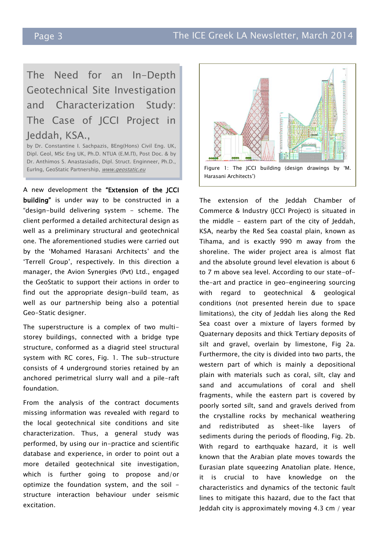# The Need for an In-Depth Geotechnical Site Investigation and Characterization Study: The Case of JCCI Project in Jeddah, KSA.,

by Dr. Constantine I. Sachpazis, BEng(Hons) Civil Eng. UK, Dipl. Geol, MSc Eng UK, Ph.D. NTUA (Ε.Μ.Π), Post Doc. & by Dr. Anthimos S. Anastasiadis, Dipl. Struct. Enginneer, Ph.D.,

A new development the "Extension of the JCCI building" is under way to be constructed in a "design-build delivering system - scheme. The client performed a detailed architectural design as well as a preliminary structural and geotechnical one. The aforementioned studies were carried out by the 'Mohamed Harasani Architects' and the "Terrell Group", respectively. In this direction a manager, the Avion Synergies (Pvt) Ltd., engaged the GeoStatic to support their actions in order to find out the appropriate design-build team, as well as our partnership being also a potential Geo-Static designer.

The superstructure is a complex of two multistorey buildings, connected with a bridge type structure, conformed as a diagrid steel structural system with RC cores, Fig. 1. The sub-structure consists of 4 underground stories retained by an anchored perimetrical slurry wall and a pile-raft foundation.

From the analysis of the contract documents missing information was revealed with regard to the local geotechnical site conditions and site characterization. Thus, a general study was performed, by using our in-practice and scientific database and experience, in order to point out a more detailed geotechnical site investigation, which is further going to propose and/or optimize the foundation system, and the soil structure interaction behaviour under seismic excitation.



The extension of the Jeddah Chamber of Commerce & Industry (JCCI Project) is situated in the middle - eastern part of the city of Jeddah, KSA, nearby the Red Sea coastal plain, known as Tihama, and is exactly 990 m away from the shoreline. The wider project area is almost flat and the absolute ground level elevation is about 6 to 7 m above sea level. According to our state-ofthe-art and practice in geo-engineering sourcing with regard to geotechnical & geological conditions (not presented herein due to space limitations), the city of Jeddah lies along the Red Sea coast over a mixture of layers formed by Quaternary deposits and thick Tertiary deposits of silt and gravel, overlain by limestone, Fig 2a. Furthermore, the city is divided into two parts, the western part of which is mainly a depositional plain with materials such as coral, silt, clay and sand and accumulations of coral and shell fragments, while the eastern part is covered by poorly sorted silt, sand and gravels derived from the crystalline rocks by mechanical weathering and redistributed as sheet-like layers of sediments during the periods of flooding, Fig. 2b. With regard to earthquake hazard, it is well known that the Arabian plate moves towards the Eurasian plate squeezing Anatolian plate. Hence, it is crucial to have knowledge on the characteristics and dynamics of the tectonic fault lines to mitigate this hazard, due to the fact that Jeddah city is approximately moving 4.3 cm / year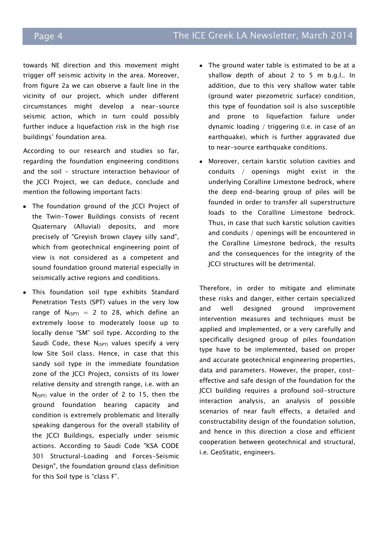towards NE direction and this movement might trigger off seismic activity in the area. Moreover, from figure 2a we can observe a fault line in the vicinity of our project, which under different circumstances might develop a near-source seismic action, which in turn could possibly further induce a liquefaction risk in the high rise buildings" foundation area.

According to our research and studies so far, regarding the foundation engineering conditions and the soil - structure interaction behaviour of the JCCI Project, we can deduce, conclude and mention the following important facts:

- The foundation ground of the JCCI Project of the Twin-Tower Buildings consists of recent Quaternary (Alluvial) deposits, and more precisely of "Greyish brown clayey silly sand", which from geotechnical engineering point of view is not considered as a competent and sound foundation ground material especially in seismically active regions and conditions.
- This foundation soil type exhibits Standard Penetration Tests (SPT) values in the very low range of  $N_{(SPT)} = 2$  to 28, which define an extremely loose to moderately loose up to locally dense "SM" soil type. According to the Saudi Code, these  $N_{(SPT)}$  values specify a very low Site Soil class. Hence, in case that this sandy soil type in the immediate foundation zone of the JCCI Project, consists of its lower relative density and strength range, i.e. with an  $N_{(SPT)}$  value in the order of 2 to 15, then the ground foundation bearing capacity and condition is extremely problematic and literally speaking dangerous for the overall stability of the JCCI Buildings, especially under seismic actions. According to Saudi Code "KSA CODE 301 Structural-Loading and Forces-Seismic Design", the foundation ground class definition for this Soil type is "class F".
- The ground water table is estimated to be at a shallow depth of about 2 to 5 m b.g.l.. In addition, due to this very shallow water table (ground water piezometric surface) condition, this type of foundation soil is also susceptible and prone to liquefaction failure under dynamic loading / triggering (i.e. in case of an earthquake), which is further aggravated due to near-source earthquake conditions.
- Moreover, certain karstic solution cavities and conduits / openings might exist in the underlying Coralline Limestone bedrock, where the deep end-bearing group of piles will be founded in order to transfer all superstructure loads to the Coralline Limestone bedrock. Thus, in case that such karstic solution cavities and conduits / openings will be encountered in the Coralline Limestone bedrock, the results and the consequences for the integrity of the JCCI structures will be detrimental.

Therefore, in order to mitigate and eliminate these risks and danger, either certain specialized and well designed ground improvement intervention measures and techniques must be applied and implemented, or a very carefully and specifically designed group of piles foundation type have to be implemented, based on proper and accurate geotechnical engineering properties, data and parameters. However, the proper, costeffective and safe design of the foundation for the JCCI building requires a profound soil-structure interaction analysis, an analysis of possible scenarios of near fault effects, a detailed and constructability design of the foundation solution, and hence in this direction a close and efficient cooperation between geotechnical and structural, i.e. GeoStatic, engineers.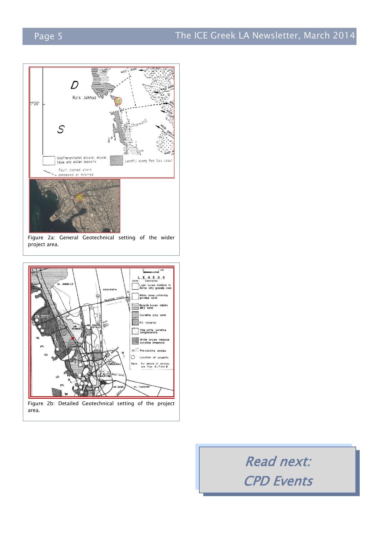

Figure 2a: General Geotechnical setting of the wider project area.



Read next: CPD Events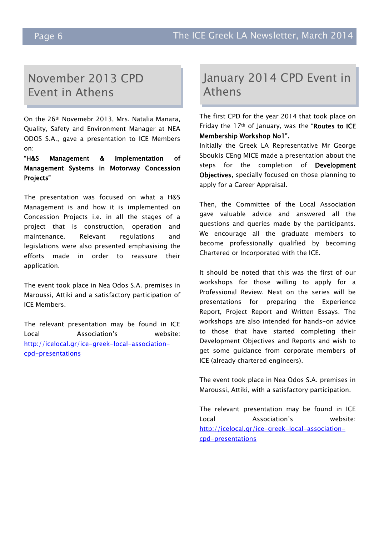# November 2013 CPD Event in Athens

On the 26th Novemebr 2013, Mrs. Natalia Manara, Quality, Safety and Environment Manager at NEA ODOS S.A., gave a presentation to ICE Members on:

"H&S Management & Implementation of Management Systems in Motorway Concession Projects"

The presentation was focused on what a H&S Management is and how it is implemented on Concession Projects i.e. in all the stages of a project that is construction, operation and maintenance. Relevant regulations and legislations were also presented emphasising the efforts made in order to reassure their application.

The event took place in Nea Odos S.A. premises in Maroussi, Attiki and a satisfactory participation of ICE Members.

The relevant presentation may be found in ICE Local Association"s website: [http://icelocal.gr/ice-greek-local-association](http://icelocal.gr/ice-greek-local-association-cpd-presentations)[cpd-presentations](http://icelocal.gr/ice-greek-local-association-cpd-presentations)

## January 2014 CPD Event in Athens

The first CPD for the year 2014 that took place on Friday the 17<sup>th</sup> of January, was the "Routes to ICE Membership Workshop No1".

Initially the Greek LA Representative Mr George Sboukis CEng MICE made a presentation about the steps for the completion of Development Objectives, specially focused on those planning to apply for a Career Appraisal.

Then, the Committee of the Local Association gave valuable advice and answered all the questions and queries made by the participants. We encourage all the graduate members to become professionally qualified by becoming Chartered or Incorporated with the ICE.

It should be noted that this was the first of our workshops for those willing to apply for a Professional Review. Next on the series will be presentations for preparing the Experience Report, Project Report and Written Essays. The workshops are also intended for hands-on advice to those that have started completing their Development Objectives and Reports and wish to get some guidance from corporate members of ICE (already chartered engineers).

The event took place in Nea Odos S.A. premises in Maroussi, Attiki, with a satisfactory participation.

The relevant presentation may be found in ICE Local Association"s website: [http://icelocal.gr/ice-greek-local-association](http://icelocal.gr/ice-greek-local-association-cpd-presentations)[cpd-presentations](http://icelocal.gr/ice-greek-local-association-cpd-presentations)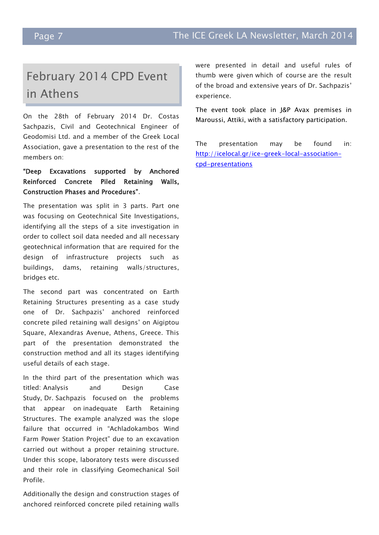# February 2014 CPD Event in Athens

On the 28th of February 2014 Dr. Costas Sachpazis, Civil and Geotechnical Engineer of Geodomisi Ltd. and a member of the Greek Local Association, gave a presentation to the rest of the members on:

### "Deep Excavations supported by Anchored Reinforced Concrete Piled Retaining Walls, Construction Phases and Procedures".

The presentation was split in 3 parts. Part one was focusing on Geotechnical Site Investigations, identifying all the steps of a site investigation in order to collect soil data needed and all necessary geotechnical information that are required for the design of infrastructure projects such as buildings, dams, retaining walls/structures, bridges etc.

The second part was concentrated on Earth Retaining Structures presenting as a case study one of Dr. Sachpazis" anchored reinforced concrete piled retaining wall designs" on Aigiptou Square, Alexandras Avenue, Athens, Greece. This part of the presentation demonstrated the construction method and all its stages identifying useful details of each stage.

In the third part of the presentation which was titled: Analysis and Design Case Study, Dr. Sachpazis focused on the problems that appear on inadequate Earth Retaining Structures. The example analyzed was the slope failure that occurred in "Achladokambos Wind Farm Power Station Project" due to an excavation carried out without a proper retaining structure. Under this scope, laboratory tests were discussed and their role in classifying Geomechanical Soil Profile.

Additionally the design and construction stages of anchored reinforced concrete piled retaining walls

were presented in detail and useful rules of thumb were given which of course are the result of the broad and extensive years of Dr. Sachpazis" experience.

The event took place in J&P Avax premises in Maroussi, Attiki, with a satisfactory participation.

The presentation may be found in: [http://icelocal.gr/ice-greek-local-association](http://icelocal.gr/ice-greek-local-association-cpd-presentations)[cpd-presentations](http://icelocal.gr/ice-greek-local-association-cpd-presentations)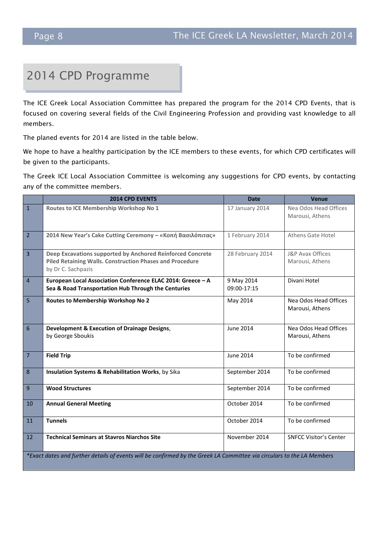# 2014 CPD Programme

The ICE Greek Local Association Committee has prepared the program for the 2014 CPD Events, that is focused on covering several fields of the Civil Engineering Profession and providing vast knowledge to all members.

The planed events for 2014 are listed in the table below.

We hope to have a healthy participation by the ICE members to these events, for which CPD certificates will be given to the participants.

The Greek ICE Local Association Committee is welcoming any suggestions for CPD events, by contacting any of the committee members.

|                 | <b>2014 CPD EVENTS</b>                                                                                                                       | <b>Date</b>               | Venue                                    |  |  |
|-----------------|----------------------------------------------------------------------------------------------------------------------------------------------|---------------------------|------------------------------------------|--|--|
| $\mathbf{1}$    | Routes to ICE Membership Workshop No 1                                                                                                       | 17 January 2014           | Nea Odos Head Offices<br>Marousi, Athens |  |  |
| $\overline{2}$  | 2014 New Year's Cake Cutting Ceremony - «Κοπή Βασιλόπιτας»                                                                                   | 1 February 2014           | Athens Gate Hotel                        |  |  |
| $\overline{3}$  | Deep Excavations supported by Anchored Reinforced Concrete<br>Piled Retaining Walls. Construction Phases and Procedure<br>by Dr C. Sachpazis | 28 February 2014          | J&P Avax Offices<br>Marousi, Athens      |  |  |
| $\overline{4}$  | European Local Association Conference ELAC 2014: Greece - A<br>Sea & Road Transportation Hub Through the Centuries                           | 9 May 2014<br>09:00-17:15 | Divani Hotel                             |  |  |
| 5               | Routes to Membership Workshop No 2                                                                                                           | May 2014                  | Nea Odos Head Offices<br>Marousi, Athens |  |  |
| $6\phantom{1}6$ | Development & Execution of Drainage Designs,<br>by George Sboukis                                                                            | <b>June 2014</b>          | Nea Odos Head Offices<br>Marousi, Athens |  |  |
| $\overline{7}$  | <b>Field Trip</b>                                                                                                                            | <b>June 2014</b>          | To be confirmed                          |  |  |
| 8               | Insulation Systems & Rehabilitation Works, by Sika                                                                                           | September 2014            | To be confirmed                          |  |  |
| 9               | <b>Wood Structures</b>                                                                                                                       | September 2014            | To be confirmed                          |  |  |
| 10              | <b>Annual General Meeting</b>                                                                                                                | October 2014              | To be confirmed                          |  |  |
| 11              | <b>Tunnels</b>                                                                                                                               | October 2014              | To be confirmed                          |  |  |
| 12              | <b>Technical Seminars at Stavros Niarchos Site</b>                                                                                           | November 2014             | <b>SNFCC Visitor's Center</b>            |  |  |
|                 | *Exact dates and further details of events will be confirmed by the Greek LA Committee via circulars to the LA Members                       |                           |                                          |  |  |